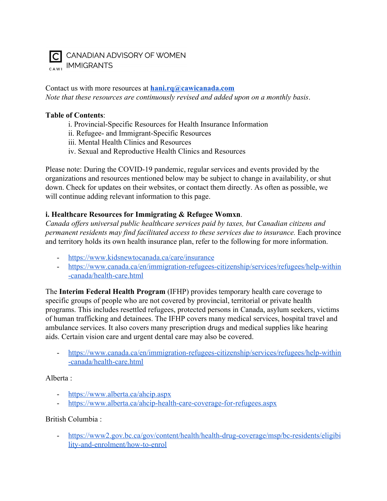

Contact us with more resources at **[hani.rq@cawicanada.com](mailto:hani.rq@cawicanada.com)** *Note that these resources are continuously revised and added upon on a monthly basis*.

#### **Table of Contents**:

- i. Provincial-Specific Resources for Health Insurance Information
- ii. Refugee- and Immigrant-Specific Resources
- iii. Mental Health Clinics and Resources
- iv. Sexual and Reproductive Health Clinics and Resources

Please note: During the COVID-19 pandemic, regular services and events provided by the organizations and resources mentioned below may be subject to change in availability, or shut down. Check for updates on their websites, or contact them directly. As often as possible, we will continue adding relevant information to this page.

## **i. Healthcare Resources for Immigrating & Refugee Womxn**.

*Canada offers universal public healthcare services paid by taxes, but Canadian citizens and permanent residents may find facilitated access to these services due to insurance.* Each province and territory holds its own health insurance plan, refer to the following for more information.

- <https://www.kidsnewtocanada.ca/care/insurance>
- [https://www.canada.ca/en/immigration-refugees-citizenship/services/refugees/help-within](https://www.canada.ca/en/immigration-refugees-citizenship/services/refugees/help-within-canada/health-care.html) [-canada/health-care.html](https://www.canada.ca/en/immigration-refugees-citizenship/services/refugees/help-within-canada/health-care.html)

The **Interim Federal Health Program** (IFHP) provides temporary health care coverage to specific groups of people who are not covered by provincial, territorial or private health programs. This includes resettled refugees, protected persons in Canada, asylum seekers, victims of human trafficking and detainees. The IFHP covers many medical services, hospital travel and ambulance services. It also covers many prescription drugs and medical supplies like hearing aids. Certain vision care and urgent dental care may also be covered.

- [https://www.canada.ca/en/immigration-refugees-citizenship/services/refugees/help-within](https://www.canada.ca/en/immigration-refugees-citizenship/services/refugees/help-within-canada/health-care.html) [-canada/health-care.html](https://www.canada.ca/en/immigration-refugees-citizenship/services/refugees/help-within-canada/health-care.html)

#### Alberta :

- <https://www.alberta.ca/ahcip.aspx>
- <https://www.alberta.ca/ahcip-health-care-coverage-for-refugees.aspx>

#### British Columbia :

- [https://www2.gov.bc.ca/gov/content/health/health-drug-coverage/msp/bc-residents/eligibi](https://www2.gov.bc.ca/gov/content/health/health-drug-coverage/msp/bc-residents/eligibility-and-enrolment/how-to-enrol) [lity-and-enrolment/how-to-enrol](https://www2.gov.bc.ca/gov/content/health/health-drug-coverage/msp/bc-residents/eligibility-and-enrolment/how-to-enrol)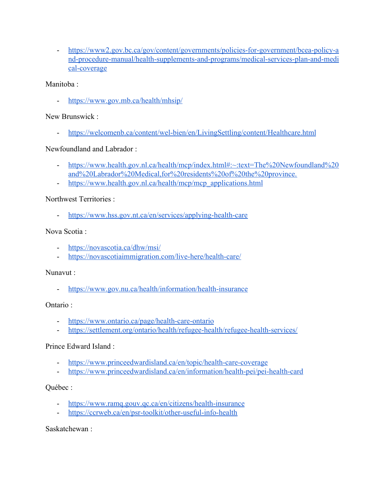- [https://www2.gov.bc.ca/gov/content/governments/policies-for-government/bcea-policy-a](https://www2.gov.bc.ca/gov/content/governments/policies-for-government/bcea-policy-and-procedure-manual/health-supplements-and-programs/medical-services-plan-and-medical-coverage) [nd-procedure-manual/health-supplements-and-programs/medical-services-plan-and-medi](https://www2.gov.bc.ca/gov/content/governments/policies-for-government/bcea-policy-and-procedure-manual/health-supplements-and-programs/medical-services-plan-and-medical-coverage) [cal-coverage](https://www2.gov.bc.ca/gov/content/governments/policies-for-government/bcea-policy-and-procedure-manual/health-supplements-and-programs/medical-services-plan-and-medical-coverage)

## Manitoba ·

- <https://www.gov.mb.ca/health/mhsip/>

## New Brunswick :

- <https://welcomenb.ca/content/wel-bien/en/LivingSettling/content/Healthcare.html>

# Newfoundland and Labrador :

- [https://www.health.gov.nl.ca/health/mcp/index.html#:~:text=The%20Newfoundland%20](https://www.health.gov.nl.ca/health/mcp/index.html#:~:text=The%20Newfoundland%20and%20Labrador%20Medical,for%20residents%20of%20the%20province.) [and%20Labrador%20Medical,for%20residents%20of%20the%20province.](https://www.health.gov.nl.ca/health/mcp/index.html#:~:text=The%20Newfoundland%20and%20Labrador%20Medical,for%20residents%20of%20the%20province.)
- [https://www.health.gov.nl.ca/health/mcp/mcp\\_applications.html](https://www.health.gov.nl.ca/health/mcp/mcp_applications.html)

# Northwest Territories :

- <https://www.hss.gov.nt.ca/en/services/applying-health-care>

# Nova Scotia :

- <https://novascotia.ca/dhw/msi/>
- <https://novascotiaimmigration.com/live-here/health-care/>

## Nunavut :

- <https://www.gov.nu.ca/health/information/health-insurance>

## Ontario :

- <https://www.ontario.ca/page/health-care-ontario>
- <https://settlement.org/ontario/health/refugee-health/refugee-health-services/>

# Prince Edward Island :

- <https://www.princeedwardisland.ca/en/topic/health-care-coverage>
- <https://www.princeedwardisland.ca/en/information/health-pei/pei-health-card>

## Québec :

- <https://www.ramq.gouv.qc.ca/en/citizens/health-insurance>
- <https://ccrweb.ca/en/psr-toolkit/other-useful-info-health>

Saskatchewan :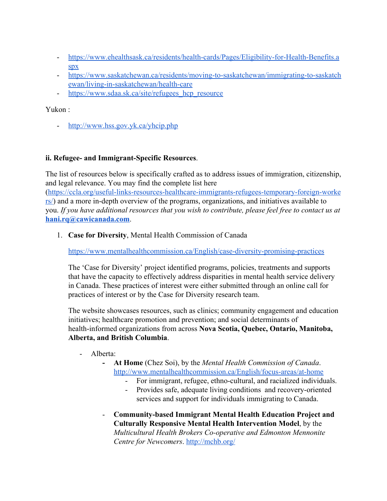- [https://www.ehealthsask.ca/residents/health-cards/Pages/Eligibility-for-Health-Benefits.a](https://www.ehealthsask.ca/residents/health-cards/Pages/Eligibility-for-Health-Benefits.aspx) [spx](https://www.ehealthsask.ca/residents/health-cards/Pages/Eligibility-for-Health-Benefits.aspx)
- [https://www.saskatchewan.ca/residents/moving-to-saskatchewan/immigrating-to-saskatch](https://www.saskatchewan.ca/residents/moving-to-saskatchewan/immigrating-to-saskatchewan/living-in-saskatchewan/health-care) [ewan/living-in-saskatchewan/health-care](https://www.saskatchewan.ca/residents/moving-to-saskatchewan/immigrating-to-saskatchewan/living-in-saskatchewan/health-care)
- https://www.sdaa.sk.ca/site/refugees hcp\_resource

Yukon :

- <http://www.hss.gov.yk.ca/yhcip.php>

# **ii. Refugee- and Immigrant-Specific Resources**.

The list of resources below is specifically crafted as to address issues of immigration, citizenship, and legal relevance. You may find the complete list here ([https://ccla.org/useful-links-resources-healthcare-immigrants-refugees-temporary-foreign-worke](https://ccla.org/useful-links-resources-healthcare-immigrants-refugees-temporary-foreign-workers/)  $\frac{rs}{s}$  and a more in-depth overview of the programs, organizations, and initiatives available to you. *If you have additional resources that you wish to contribute, please feel free to contact us at* **[hani.rq@cawicanada.com](mailto:hani.rq@cawicanada.com)**.

1. **Case for Diversity**, Mental Health Commission of Canada

<https://www.mentalhealthcommission.ca/English/case-diversity-promising-practices>

[The 'Case for Diversity'](http://www.mentalhealthcommission.ca/sites/default/files/2016-10/case_for_diversity_oct_2016_eng.pdf) project identified programs, policies, treatments and supports that have the capacity to effectively address disparities in mental health service delivery in Canada. These practices of interest were either submitted through an online call for practices of interest or by the Case for Diversity research team.

The website showcases resources, such as clinics; community engagement and education initiatives; healthcare promotion and prevention; and social determinants of health-informed organizations from across **Nova Scotia, Quebec, Ontario, Manitoba, Alberta, and British Columbia**.

- Alberta:
	- **- At Home** (Chez Soi), by the *Mental Health Commission of Canada*. <http://www.mentalhealthcommission.ca/English/focus-areas/at-home>
		- For immigrant, refugee, ethno-cultural, and racialized individuals.
		- Provides safe, adequate living conditions and recovery-oriented services and support for individuals immigrating to Canada.
	- **[Community-based Immigrant Mental Health Education Project and](http://mchb.org/) [Culturally Responsive Mental Health Intervention Model](http://mchb.org/)**, by the *Multicultural Health Brokers Co-operative and Edmonton Mennonite Centre for Newcomers*. <http://mchb.org/>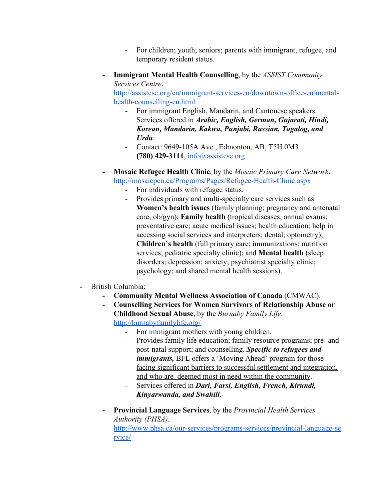- For children; youth; seniors; parents with immigrant, refugee, and temporary resident status.
- **- Immigrant Mental Health Counselling**, by the *ASSIST Community Services Centre*.

[http://assistcsc.org/en/immigrant-services-en/downtown-office-en/mental](http://assistcsc.org/en/immigrant-services-en/downtown-office-en/mental-health-counselling-en.html)[health-counselling-en.html](http://assistcsc.org/en/immigrant-services-en/downtown-office-en/mental-health-counselling-en.html)

- For immigrant English, Mandarin, and Cantonese speakers. Services offered in *Arabic, English, German, Gujarati, Hindi, Korean, Mandarin, Kakwa, Punjabi, Russian, Tagalog, and Urdu*.
- Contact: 9649-105A Ave., Edmonton, AB, T5H 0M3 **(780) 429-3111**, [info@assistcsc.org](mailto:info@assistcsc.org)
- **- Mosaic Refugee Health Clinic**, by the *Mosaic Primary Care Network*. <http://mosaicpcn.ca/Programs/Pages/Refugee-Health-Clinic.aspx>
	- For individuals with refugee status.
	- Provides primary and multi-specialty care services such as **Women's health issues** (family planning; pregnancy and antenatal care; ob/gyn); **Family health** (tropical diseases; annual exams; preventative care; acute medical issues; health education; help in accessing social services and interpreters; dental; optometry); **Children's health** (full primary care; immunizations; nutrition services; pediatric specialty clinic); and **Mental health** (sleep disorders; depression; anxiety; psychiatrist specialty clinic; psychology; and shared mental health sessions).
- British Columbia:
	- **- Community Mental Wellness Association of Canada** (CMWAC).
	- **- Counselling Services for Women Survivors of Relationship Abuse or Childhood Sexual Abuse**, by the *Burnaby Family Life*. <http://burnabyfamilylife.org/>
		- For immigrant mothers with young children.
		- Provides family life education; family resource programs; pre- and post-natal support; and counselling. *Specific to refugees and immigrants, BFL* offers a 'Moving Ahead' program for those facing significant barriers to successful settlement and integration, and who are deemed most in need within the community.
		- Services offered in *Dari, Farsi, English, French, Kirundi, Kinyarwanda, and Swahili*.
	- **- Provincial Language Services**, by the *Provincial Health Services Authority (PHSA)*.

[http://www.phsa.ca/our-services/programs-services/provincial-language-se](http://www.phsa.ca/our-services/programs-services/provincial-language-service/) [rvice/](http://www.phsa.ca/our-services/programs-services/provincial-language-service/)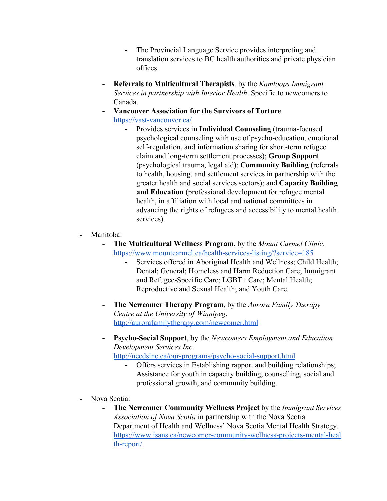- **-** The Provincial Language Service provides interpreting and translation services to BC health authorities and private physician offices.
- **- Referrals to Multicultural Therapists**, by the *Kamloops Immigrant Services in partnership with Interior Health*. Specific to newcomers to Canada.
- **- Vancouver Association for the Survivors of Torture**. <https://vast-vancouver.ca/>
	- **-** Provides services in **Individual Counseling** (trauma-focused psychological counseling with use of psycho-education, emotional self-regulation, and information sharing for short-term refugee claim and long-term settlement processes); **Group Support** (psychological trauma, legal aid); **Community Building** (referrals to health, housing, and settlement services in partnership with the greater health and social services sectors); and **Capacity Building and Education** (professional development for refugee mental health, in affiliation with local and national committees in advancing the rights of refugees and accessibility to mental health services).
- **-** Manitoba:
	- **- The Multicultural Wellness Program**, by the *Mount Carmel Clinic*. <https://www.mountcarmel.ca/health-services-listing/?service=185>
		- **-** Services offered in Aboriginal Health and Wellness; Child Health; Dental; General; Homeless and Harm Reduction Care; Immigrant and Refugee-Specific Care; LGBT+ Care; Mental Health; Reproductive and Sexual Health; and Youth Care.
	- **- The Newcomer Therapy Program**, by the *Aurora Family Therapy Centre at the University of Winnipeg*. <http://aurorafamilytherapy.com/newcomer.html>
	- **- Psycho-Social Support**, by the *Newcomers Employment and Education Development Services Inc*.

<http://needsinc.ca/our-programs/psycho-social-support.html>

- **-** Offers services in Establishing rapport and building relationships; Assistance for youth in capacity building, counselling, social and professional growth, and community building.
- **-** Nova Scotia:
	- **- The Newcomer Community Wellness Project** by the *Immigrant Services Association of Nova Scotia* in partnership with the Nova Scotia Department of Health and Wellness' Nova Scotia Mental Health Strategy. [https://www.isans.ca/newcomer-community-wellness-projects-mental-heal](https://www.isans.ca/newcomer-community-wellness-projects-mental-health-report/) [th-report/](https://www.isans.ca/newcomer-community-wellness-projects-mental-health-report/)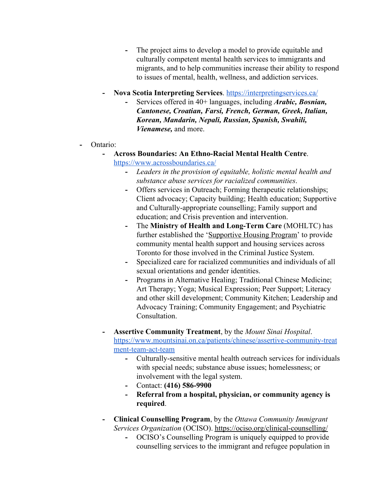- **-** The project aims to develop a model to provide equitable and culturally competent mental health services to immigrants and migrants, and to help communities increase their ability to respond to issues of mental, health, wellness, and addiction services.
- **- Nova Scotia Interpreting Services**.<https://interpretingservices.ca/>
	- **-** Services offered in 40+ languages, including *Arabic, Bosnian, Cantonese, Croatian, Farsi, French, German, Greek, Italian, Korean, Mandarin, Nepali, Russian, Spanish, Swahili, Vienamese,* and more.
- **-** Ontario:
	- **- Across Boundaries: An Ethno-Racial Mental Health Centre**. <https://www.acrossboundaries.ca/>
		- **-** *Leaders in the provision of equitable, holistic mental health and substance abuse services for racialized communities*.
		- **-** Offers services in Outreach; Forming therapeutic relationships; Client advocacy; Capacity building; Health education; Supportive and Culturally-appropriate counselling; Family support and education; and Crisis prevention and intervention.
		- **-** The **Ministry of Health and Long-Term Care** (MOHLTC) has further established the 'Supportive Housing Program' to provide community mental health support and housing services across Toronto for those involved in the Criminal Justice System.
		- **-** Specialized care for racialized communities and individuals of all sexual orientations and gender identities.
		- **-** Programs in Alternative Healing; Traditional Chinese Medicine; Art Therapy; Yoga; Musical Expression; Peer Support; Literacy and other skill development; Community Kitchen; Leadership and Advocacy Training; Community Engagement; and Psychiatric **Consultation**
	- **- Assertive Community Treatment**, by the *Mount Sinai Hospital*. [https://www.mountsinai.on.ca/patients/chinese/assertive-community-treat](https://www.mountsinai.on.ca/patients/chinese/assertive-community-treatment-team-act-team) [ment-team-act-team](https://www.mountsinai.on.ca/patients/chinese/assertive-community-treatment-team-act-team)
		- **-** Culturally-sensitive mental health outreach services for individuals with special needs; substance abuse issues; homelessness; or involvement with the legal system.
		- **-** Contact: **(416) 586-9900**
		- **- Referral from a hospital, physician, or community agency is required**.
	- **- Clinical Counselling Program**, by the *Ottawa Community Immigrant Services Organization* (OCISO). <https://ociso.org/clinical-counselling/>
		- **-** OCISO's Counselling Program is uniquely equipped to provide counselling services to the immigrant and refugee population in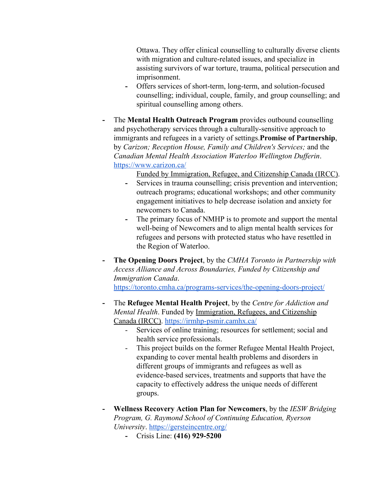Ottawa. They offer clinical counselling to culturally diverse clients with migration and culture-related issues, and specialize in assisting survivors of war torture, trauma, political persecution and imprisonment.

- **-** Offers services of short-term, long-term, and solution-focused counselling; individual, couple, family, and group counselling; and spiritual counselling among others.
- **-** The **Mental Health Outreach Program** provides outbound counselling and psychotherapy services through a culturally-sensitive approach to immigrants and refugees in a variety of settings.**Promise of Partnership**, by *Carizon; Reception House, Family and Children's Services;* and the *Canadian Mental Health Association Waterloo Wellington Dufferin*. <https://www.carizon.ca/>

Funded by Immigration, Refugee, and Citizenship Canada (IRCC).

- **-** Services in trauma counselling; crisis prevention and intervention; outreach programs; educational workshops; and other community engagement initiatives to help decrease isolation and anxiety for newcomers to Canada.
- **-** The primary focus of NMHP is to promote and support the mental well-being of Newcomers and to align mental health services for refugees and persons with protected status who have resettled in the Region of Waterloo.
- **- The Opening Doors Project**, by the *CMHA Toronto in Partnership with Access Alliance and Across Boundaries, Funded by Citizenship and Immigration Canada*. <https://toronto.cmha.ca/programs-services/the-opening-doors-project/>
- **-** The **Refugee Mental Health Project**, by the *Centre for Addiction and Mental Health*. Funded by Immigration, Refugees, and Citizenship Canada (IRCC). <https://irmhp-psmir.camhx.ca/>
	- Services of online training; resources for settlement; social and health service professionals.
	- This project builds on the former Refugee Mental Health Project, expanding to cover mental health problems and disorders in different groups of immigrants and refugees as well as evidence-based services, treatments and supports that have the capacity to effectively address the unique needs of different groups.
- **- Wellness Recovery Action Plan for Newcomers**, by the *IESW Bridging Program, G. Raymond School of Continuing Education, Ryerson University*. <https://gersteincentre.org/>
	- **-** Crisis Line: **(416) 929-5200**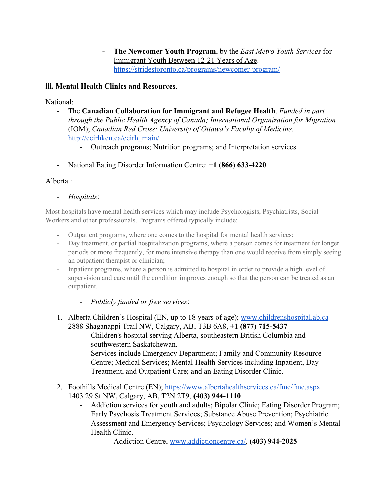**- The Newcomer Youth Program**, by the *East Metro Youth Services* for Immigrant Youth Between 12-21 Years of Age. <https://stridestoronto.ca/programs/newcomer-program/>

# **iii. Mental Health Clinics and Resources**.

National:

- The **Canadian Collaboration for Immigrant and Refugee Health**. *Funded in part through the Public Health Agency of Canada; International Organization for Migration* (IOM); *Canadian Red Cross; University of Ottawa's Faculty of Medicine*. [http://ccirhken.ca/ccirh\\_main/](http://ccirhken.ca/ccirh_main/)
	- Outreach programs; Nutrition programs; and Interpretation services.
- National Eating Disorder Information Centre: **+1 (866) 633-4220**

# Alberta :

- *Hospitals*:

Most hospitals have mental health services which may include Psychologists, Psychiatrists, Social Workers and other professionals. Programs offered typically include:

- Outpatient programs, where one comes to the hospital for mental health services;
- Day treatment, or partial hospitalization programs, where a person comes for treatment for longer periods or more frequently, for more intensive therapy than one would receive from simply seeing an outpatient therapist or clinician;
- Inpatient programs, where a person is admitted to hospital in order to provide a high level of supervision and care until the condition improves enough so that the person can be treated as an outpatient.
	- *Publicly funded or free services*:
- 1. Alberta Children's Hospital (EN, up to 18 years of age); [www.childrenshospital.ab.ca](http://www.childrenshospital.ab.ca/) 2888 Shaganappi Trail NW, Calgary, AB, T3B 6A8, **+1 (877) 715-5437**
	- Children's hospital serving Alberta, southeastern British Columbia and southwestern Saskatchewan.
	- Services include Emergency Department; Family and Community Resource Centre; Medical Services; Mental Health Services including Inpatient, Day Treatment, and Outpatient Care; and an Eating Disorder Clinic.
- 2. Foothills Medical Centre (EN);<https://www.albertahealthservices.ca/fmc/fmc.aspx> 1403 29 St NW, Calgary, AB, T2N 2T9, **(403) 944-1110**
	- Addiction services for youth and adults; Bipolar Clinic; Eating Disorder Program; Early Psychosis Treatment Services; Substance Abuse Prevention; Psychiatric Assessment and Emergency Services; Psychology Services; and Women's Mental Health Clinic.
		- Addiction Centre, [www.addictioncentre.ca/,](http://www.addictioncentre.ca/) **(403) 944-2025**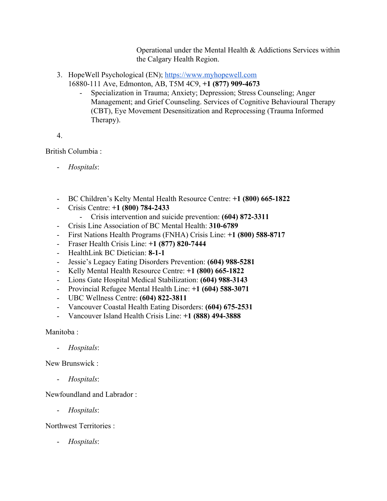Operational under the Mental Health & Addictions Services within the Calgary Health Region.

- 3. HopeWell Psychological (EN); https:[//](https://myhopewell.com/)www.myhopewell.com
	- 16880-111 Ave, Edmonton, AB, T5M 4C9, **+1 (877) 909-4673**
		- Specialization in Trauma; Anxiety; Depression; Stress Counseling; Anger Management; and Grief Counseling. Services of Cognitive Behavioural Therapy (CBT), Eye Movement Desensitization and Reprocessing (Trauma Informed Therapy).

4.

British Columbia :

- *Hospitals*:
- BC Children's Kelty Mental Health Resource Centre: **+1 (800) 665-1822**
- Crisis Centre: **+1 (800) 784-2433**
	- Crisis intervention and suicide prevention: **(604) 872-3311**
- Crisis Line Association of BC Mental Health: **310-6789**
- First Nations Health Programs (FNHA) Crisis Line: **+1 (800) 588-8717**
- Fraser Health Crisis Line: **+1 (877) 820-7444**
- HealthLink BC Dietician: **8-1-1**
- Jessie's Legacy Eating Disorders Prevention: **(604) 988-5281**
- Kelly Mental Health Resource Centre: **+1 (800) 665-1822**
- Lions Gate Hospital Medical Stabilization: **(604) 988-3143**
- Provincial Refugee Mental Health Line: **+1 (604) 588-3071**
- UBC Wellness Centre: **(604) 822-3811**
- Vancouver Coastal Health Eating Disorders: **(604) 675-2531**
- Vancouver Island Health Crisis Line: **+1 (888) 494-3888**

Manitoba ·

- *Hospitals*:

New Brunswick :

- *Hospitals*:

Newfoundland and Labrador :

- *Hospitals*:

Northwest Territories :

- *Hospitals*: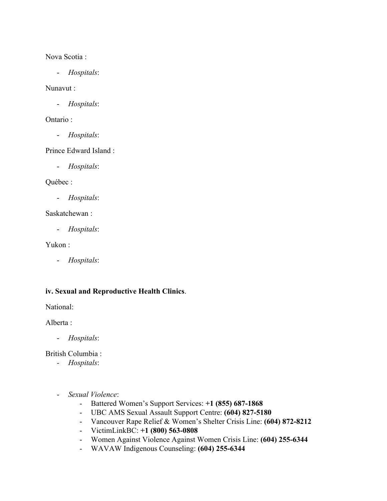Nova Scotia :

- *Hospitals*:

Nunavut :

- *Hospitals*:

Ontario :

- *Hospitals*:

Prince Edward Island :

- *Hospitals*:

Québec :

- *Hospitals*:

Saskatchewan :

- *Hospitals*:

Yukon :

- *Hospitals*:

## **iv. Sexual and Reproductive Health Clinics**.

National:

Alberta :

- *Hospitals*:

British Columbia :

- *- Hospitals*:
- *Sexual Violence*:
	- Battered Women's Support Services: **+1 (855) 687-1868**
	- UBC AMS Sexual Assault Support Centre: **(604) 827-5180**
	- Vancouver Rape Relief & Women's Shelter Crisis Line: **(604) 872-8212**
	- VictimLinkBC: **+1 (800) 563-0808**
	- Women Against Violence Against Women Crisis Line: **(604) 255-6344**
	- WAVAW Indigenous Counseling: **(604) 255-6344**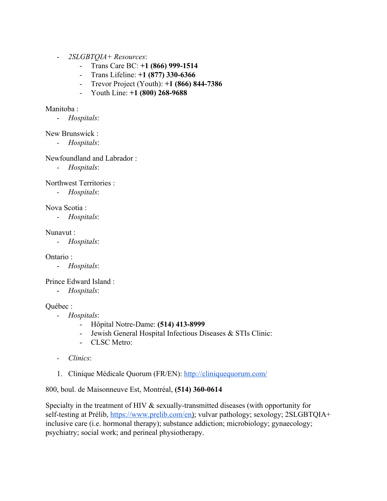- *2SLGBTQIA+ Resources*:
	- Trans Care BC: **+1 (866) 999-1514**
	- Trans Lifeline: **+1 (877) 330-6366**
	- Trevor Project (Youth): **+1 (866) 844-7386**
	- Youth Line: **+1 (800) 268-9688**

#### Manitoba ·

- *Hospitals*:

#### New Brunswick :

*- Hospitals*:

#### Newfoundland and Labrador :

*- Hospitals*:

Northwest Territories :

*- Hospitals*:

Nova Scotia :

*- Hospitals*:

#### Nunavut :

*- Hospitals*:

Ontario :

- *Hospitals*:

Prince Edward Island :

- *Hospitals*:

## Québec :

- *- Hospitals*:
	- Hôpital Notre-Dame: **(514) 413-8999**
	- Jewish General Hospital Infectious Diseases & STIs Clinic:
	- CLSC Metro:
- *- Clinics*:
- 1. Clinique Médicale Quorum (FR/EN):<http://cliniquequorum.com/>

## 800, boul. de Maisonneuve Est, Montréal, **(514) 360-0614**

Specialty in the treatment of HIV & sexually-transmitted diseases (with opportunity for self-testing at Prélib, <https://www.prelib.com/en>); vulvar pathology; sexology; 2SLGBTQIA+ inclusive care (i.e. hormonal therapy); substance addiction; microbiology; gynaecology; psychiatry; social work; and perineal physiotherapy.